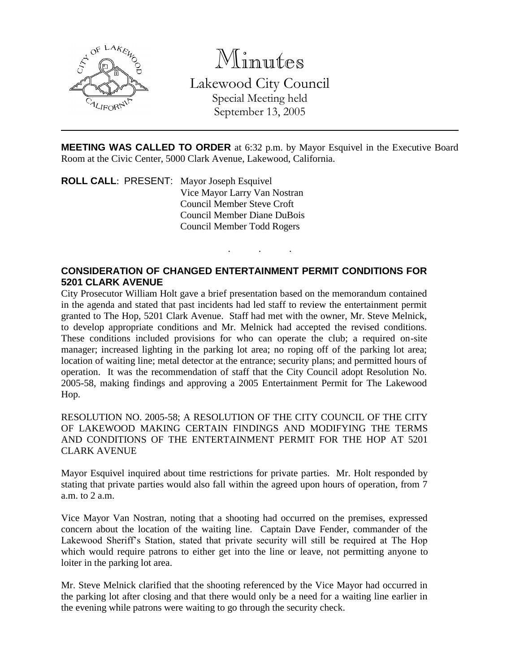

Minutes

Lakewood City Council Special Meeting held

September 13, 2005

**MEETING WAS CALLED TO ORDER** at 6:32 p.m. by Mayor Esquivel in the Executive Board Room at the Civic Center, 5000 Clark Avenue, Lakewood, California.

. . .

**ROLL CALL**: PRESENT: Mayor Joseph Esquivel Vice Mayor Larry Van Nostran Council Member Steve Croft Council Member Diane DuBois Council Member Todd Rogers

## **CONSIDERATION OF CHANGED ENTERTAINMENT PERMIT CONDITIONS FOR 5201 CLARK AVENUE**

City Prosecutor William Holt gave a brief presentation based on the memorandum contained in the agenda and stated that past incidents had led staff to review the entertainment permit granted to The Hop, 5201 Clark Avenue. Staff had met with the owner, Mr. Steve Melnick, to develop appropriate conditions and Mr. Melnick had accepted the revised conditions. These conditions included provisions for who can operate the club; a required on-site manager; increased lighting in the parking lot area; no roping off of the parking lot area; location of waiting line; metal detector at the entrance; security plans; and permitted hours of operation. It was the recommendation of staff that the City Council adopt Resolution No. 2005-58, making findings and approving a 2005 Entertainment Permit for The Lakewood Hop.

RESOLUTION NO. 2005-58; A RESOLUTION OF THE CITY COUNCIL OF THE CITY OF LAKEWOOD MAKING CERTAIN FINDINGS AND MODIFYING THE TERMS AND CONDITIONS OF THE ENTERTAINMENT PERMIT FOR THE HOP AT 5201 CLARK AVENUE

Mayor Esquivel inquired about time restrictions for private parties. Mr. Holt responded by stating that private parties would also fall within the agreed upon hours of operation, from 7 a.m. to 2 a.m.

Vice Mayor Van Nostran, noting that a shooting had occurred on the premises, expressed concern about the location of the waiting line. Captain Dave Fender, commander of the Lakewood Sheriff's Station, stated that private security will still be required at The Hop which would require patrons to either get into the line or leave, not permitting anyone to loiter in the parking lot area.

Mr. Steve Melnick clarified that the shooting referenced by the Vice Mayor had occurred in the parking lot after closing and that there would only be a need for a waiting line earlier in the evening while patrons were waiting to go through the security check.